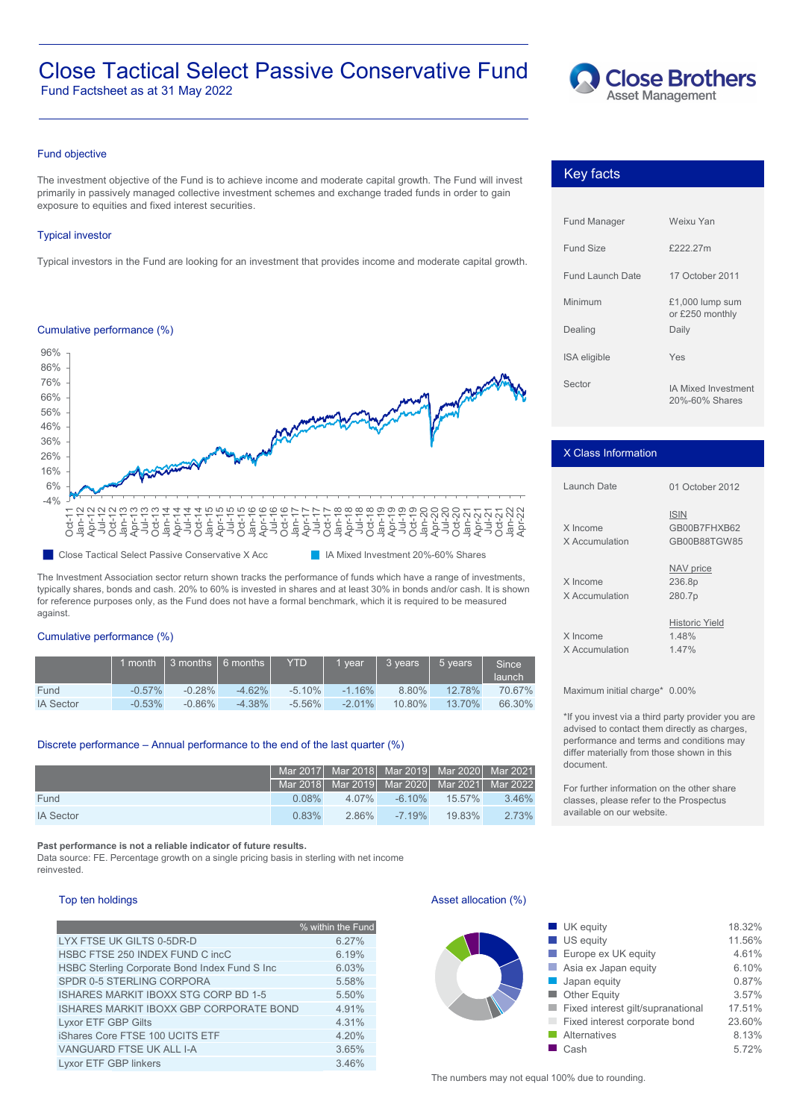# Close Tactical Select Passive Conservative Fund

Fund Factsheet as at 31 May 2022



## Fund objective

The investment objective of the Fund is to achieve income and moderate capital growth. The Fund will invest primarily in passively managed collective investment schemes and exchange traded funds in order to gain exposure to equities and fixed interest securities.

## Typical investor

Typical investors in the Fund are looking for an investment that provides income and moderate capital growth.

## Cumulative performance (%)



The Investment Association sector return shown tracks the performance of funds which have a range of investments, typically shares, bonds and cash. 20% to 60% is invested in shares and at least 30% in bonds and/or cash. It is shown for reference purposes only, as the Fund does not have a formal benchmark, which it is required to be measured against.

#### Cumulative performance (%)

|                  |           | 1 month 1 3 months 1 6 months 1 |           | <b>YTD</b> | vear      | $\overline{\phantom{a}}$ 3 years | $\vert$ 5 vears | Since<br>launch |
|------------------|-----------|---------------------------------|-----------|------------|-----------|----------------------------------|-----------------|-----------------|
| Fund             | $-0.57\%$ | $-0.28\%$                       | $-4.62\%$ | $-5.10\%$  | $-1.16\%$ | 8.80%                            | 12.78%          | 70.67%          |
| <b>IA Sector</b> | $-0.53%$  | $-0.86\%$                       | $-4.38%$  | $-5.56\%$  | $-2.01\%$ | $10.80\%$                        | 13.70%          | 66.30%          |

## Discrete performance – Annual performance to the end of the last quarter (%)

|                  |       | Mar 2017 Mar 2018 Mar 2019 Mar 2020 Mar 2021 |           |           |       |
|------------------|-------|----------------------------------------------|-----------|-----------|-------|
|                  |       | Mar 2018 Mar 2019 Mar 2020 Mar 2021 Mar 2022 |           |           |       |
| Fund             | 0.08% | $4.07\%$                                     | $-6.10\%$ | $15.57\%$ | 3.46% |
| <b>IA Sector</b> | 0.83% | 286%                                         | $-719%$   | $19.83\%$ | 2 73% |

**Past performance is not a reliable indicator of future results.**

Data source: FE. Percentage growth on a single pricing basis in sterling with net income reinvested.

### Top ten holdings

|                                               | % within the Fund |
|-----------------------------------------------|-------------------|
| LYX FTSE UK GILTS 0-5DR-D                     | $6.27\%$          |
| HSBC FTSE 250 INDEX FUND C incC               | 6.19%             |
| HSBC Sterling Corporate Bond Index Fund S Inc | 6.03%             |
| SPDR 0-5 STERLING CORPORA                     | 5.58%             |
| ISHARES MARKIT IBOXX STG CORP BD 1-5          | 5.50%             |
| ISHARES MARKIT IBOXX GBP CORPORATE BOND       | 4.91%             |
| Lyxor ETF GBP Gilts                           | 4.31%             |
| iShares Core FTSE 100 UCITS ETF               | 4.20%             |
| VANGUARD FTSE UK ALL I-A                      | 3.65%             |
| Lyxor ETF GBP linkers                         | 3.46%             |

## Key facts

| <b>Fund Manager</b> | Weixu Yan                                    |
|---------------------|----------------------------------------------|
| Fund Size           | £222.27m                                     |
| Fund Launch Date    | 17 October 2011                              |
| Minimum             | $£1,000$ lump sum<br>or £250 monthly         |
| Dealing             | Daily                                        |
| <b>ISA</b> eligible | Yes                                          |
| Sector              | <b>IA Mixed Investment</b><br>20%-60% Shares |

### X Class Information

| Launch Date                | 01 October 2012                             |  |  |  |  |
|----------------------------|---------------------------------------------|--|--|--|--|
| X Income<br>X Accumulation | <b>ISIN</b><br>GB00B7FHXB62<br>GB00B88TGW85 |  |  |  |  |
| X Income<br>X Accumulation | NAV price<br>236.8p<br>280.7p               |  |  |  |  |
| X Income<br>X Accumulation | <b>Historic Yield</b><br>1.48%<br>1 47%     |  |  |  |  |

Maximum initial charge\* 0.00%

\*If you invest via a third party provider you are advised to contact them directly as charges, performance and terms and conditions may differ materially from those shown in this document.

For further information on the other share classes, please refer to the Prospectus available on our website.

## Asset allocation (%)

| % within the Fund<br>6.27%<br>6.19%<br>6.03%<br>5.58%<br>5.50%<br>4.91%<br>4.31%<br>4.20%<br>3.65% |  |
|----------------------------------------------------------------------------------------------------|--|
|                                                                                                    |  |
|                                                                                                    |  |
|                                                                                                    |  |
|                                                                                                    |  |
|                                                                                                    |  |
|                                                                                                    |  |
|                                                                                                    |  |
|                                                                                                    |  |
|                                                                                                    |  |
|                                                                                                    |  |

The numbers may not equal 100% due to rounding.